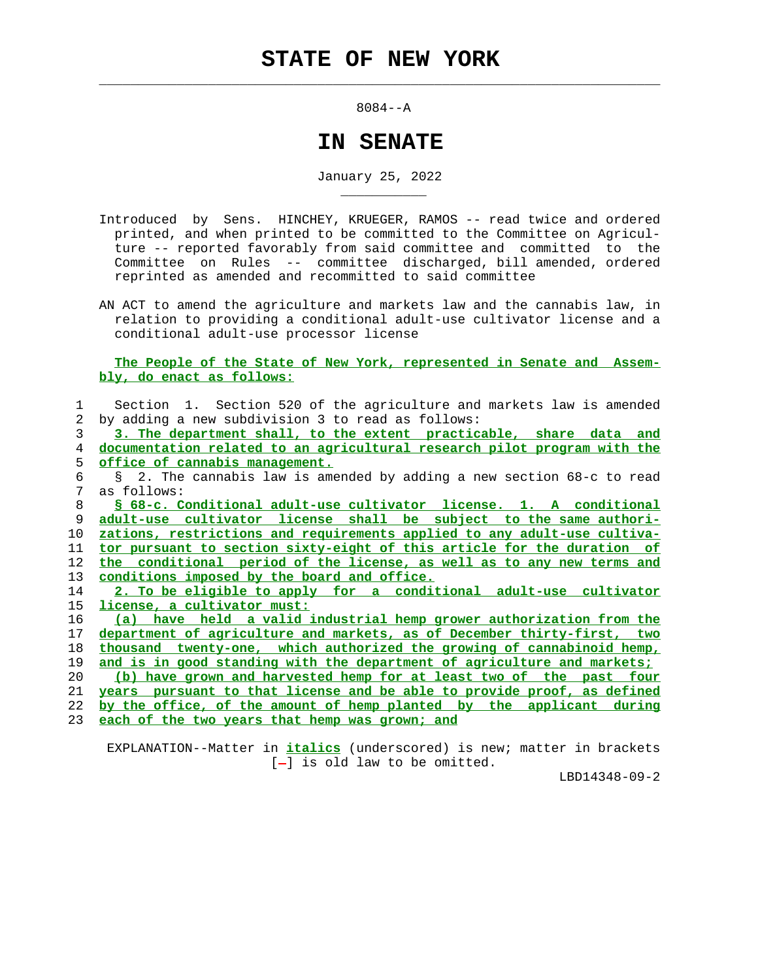$\mathcal{L}_\text{max} = \frac{1}{2} \sum_{i=1}^{n} \frac{1}{2} \sum_{i=1}^{n} \frac{1}{2} \sum_{i=1}^{n} \frac{1}{2} \sum_{i=1}^{n} \frac{1}{2} \sum_{i=1}^{n} \frac{1}{2} \sum_{i=1}^{n} \frac{1}{2} \sum_{i=1}^{n} \frac{1}{2} \sum_{i=1}^{n} \frac{1}{2} \sum_{i=1}^{n} \frac{1}{2} \sum_{i=1}^{n} \frac{1}{2} \sum_{i=1}^{n} \frac{1}{2} \sum_{i=1}^{n} \frac{1$ 

\_\_\_\_\_\_\_\_\_\_\_

8084--A

## **IN SENATE**

January 25, 2022

- Introduced by Sens. HINCHEY, KRUEGER, RAMOS -- read twice and ordered printed, and when printed to be committed to the Committee on Agricul ture -- reported favorably from said committee and committed to the Committee on Rules -- committee discharged, bill amended, ordered reprinted as amended and recommitted to said committee
- AN ACT to amend the agriculture and markets law and the cannabis law, in relation to providing a conditional adult-use cultivator license and a conditional adult-use processor license

## **The People of the State of New York, represented in Senate and Assem bly, do enact as follows:**

| 2 by adding a new subdivision 3 to read as follows: |  | Section 1. Section 520 of the agriculture and markets law is amended |  |  |  |  |  |  |  |
|-----------------------------------------------------|--|----------------------------------------------------------------------|--|--|--|--|--|--|--|
|                                                     |  |                                                                      |  |  |  |  |  |  |  |

 3 **3. The department shall, to the extent practicable, share data and** 4 **documentation related to an agricultural research pilot program with the** 5 **office of cannabis management.**

 6 § 2. The cannabis law is amended by adding a new section 68-c to read 7 as follows:

**§ 68-c. Conditional adult-use cultivator license. 1. A conditional adult-use cultivator license shall be subject to the same authori- zations, restrictions and requirements applied to any adult-use cultiva- tor pursuant to section sixty-eight of this article for the duration of the conditional period of the license, as well as to any new terms and conditions imposed by the board and office.**

 14 **2. To be eligible to apply for a conditional adult-use cultivator** 15 **license, a cultivator must:**

**(a) have held a valid industrial hemp grower authorization from the department of agriculture and markets, as of December thirty-first, two thousand twenty-one, which authorized the growing of cannabinoid hemp, and is in good standing with the department of agriculture and markets;**

 20 **(b) have grown and harvested hemp for at least two of the past four** 21 **years pursuant to that license and be able to provide proof, as defined** 22 **by the office, of the amount of hemp planted by the applicant during**

23 **each of the two years that hemp was grown; and**

 EXPLANATION--Matter in **italics** (underscored) is new; matter in brackets  $[-]$  is old law to be omitted.

LBD14348-09-2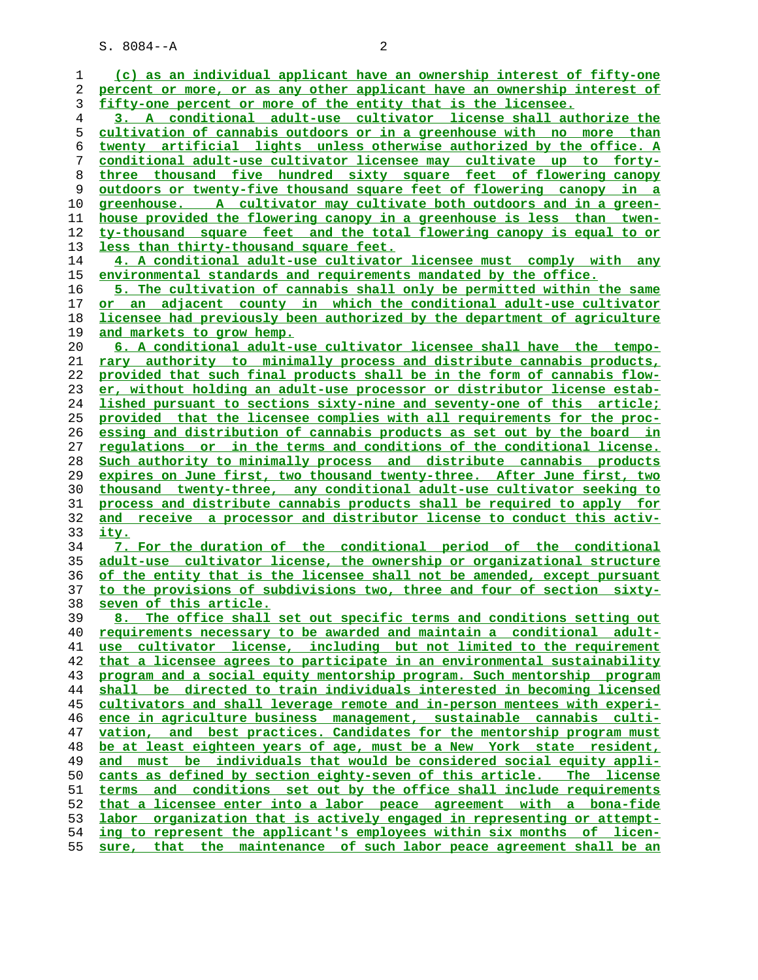| 1  | (c) as an individual applicant have an ownership interest of fifty-one             |
|----|------------------------------------------------------------------------------------|
| 2  | percent or more, or as any other applicant have an ownership interest of           |
| 3  | fifty-one percent or more of the entity that is the licensee.                      |
| 4  | 3. A conditional adult-use cultivator license shall authorize the                  |
| 5  | cultivation of cannabis outdoors or in a greenhouse with no more than              |
| 6  | twenty artificial lights unless otherwise authorized by the office. A              |
| 7  | conditional adult-use cultivator licensee may cultivate up to forty-               |
| 8  | three thousand five hundred sixty square feet of flowering canopy                  |
| 9  | <u>outdoors or twenty-five thousand square feet of flowering canopy in a</u>       |
| 10 | greenhouse. A cultivator may cultivate both outdoors and in a green-               |
| 11 | <u>house provided the flowering canopy in a greenhouse is less than twen-</u>      |
| 12 | ty-thousand square feet and the total flowering canopy is equal to or              |
| 13 | less than thirty-thousand square feet.                                             |
| 14 | 4. A conditional adult-use cultivator licensee must comply with any                |
| 15 | environmental standards and requirements mandated by the office.                   |
| 16 | 5. The cultivation of cannabis shall only be permitted within the same             |
| 17 | or an adjacent county in which the conditional adult-use cultivator                |
| 18 | licensee had previously been authorized by the department of agriculture           |
| 19 | and markets to grow hemp.                                                          |
| 20 | 6. A conditional adult-use cultivator licensee shall have the tempo-               |
| 21 | rary authority to minimally process and distribute cannabis products,              |
| 22 | provided that such final products shall be in the form of cannabis flow-           |
| 23 | er, without holding an adult-use processor or distributor license estab-           |
| 24 | lished pursuant to sections sixty-nine and seventy-one of this article;            |
| 25 | provided that the licensee complies with all requirements for the proc-            |
| 26 | essing and distribution of cannabis products as set out by the board in            |
| 27 | requlations or in the terms and conditions of the conditional license.             |
| 28 | Such authority to minimally process and distribute cannabis products               |
| 29 | expires on June first, two thousand twenty-three. After June first, two            |
| 30 | thousand twenty-three, any conditional adult-use cultivator seeking to             |
| 31 | process and distribute cannabis products shall be required to apply for            |
| 32 | and receive a processor and distributor license to conduct this activ-             |
| 33 | <u>ity.</u>                                                                        |
| 34 | 7. For the duration of the conditional period of the conditional                   |
| 35 | adult-use cultivator license, the ownership or organizational structure            |
| 36 | of the entity that is the licensee shall not be amended, except pursuant           |
| 37 | to the provisions of subdivisions two, three and four of section sixty-            |
| 38 | seven of this article.                                                             |
| 39 | The office shall set out specific terms and conditions setting out<br>8. .         |
| 40 | requirements necessary to be awarded and maintain a conditional adult-             |
| 41 | use cultivator license, including but not limited to the requirement               |
| 42 | that a licensee agrees to participate in an environmental sustainability           |
| 43 | program and a social equity mentorship program. Such mentorship program            |
| 44 | shall be directed to train individuals interested in becoming licensed             |
| 45 | cultivators and shall leverage remote and in-person mentees with experi-           |
| 46 | ence in agriculture business management, sustainable cannabis culti-               |
| 47 | and best practices. Candidates for the mentorship program must<br>vation,          |
| 48 | be at least eighteen years of age, must be a New York state resident,              |
| 49 | and must be individuals that would be considered social equity appli-              |
| 50 | cants as defined by section eighty-seven of this article.<br>The license           |
| 51 | and conditions set out by the office shall include requirements<br><u>terms - </u> |
| 52 | that a licensee enter into a labor peace agreement with a bona-fide                |
| 53 | labor organization that is actively engaged in representing or attempt-            |
| 54 | ing to represent the applicant's employees within six months of licen-             |
| 55 | sure, that the maintenance of such labor peace agreement shall be an               |
|    |                                                                                    |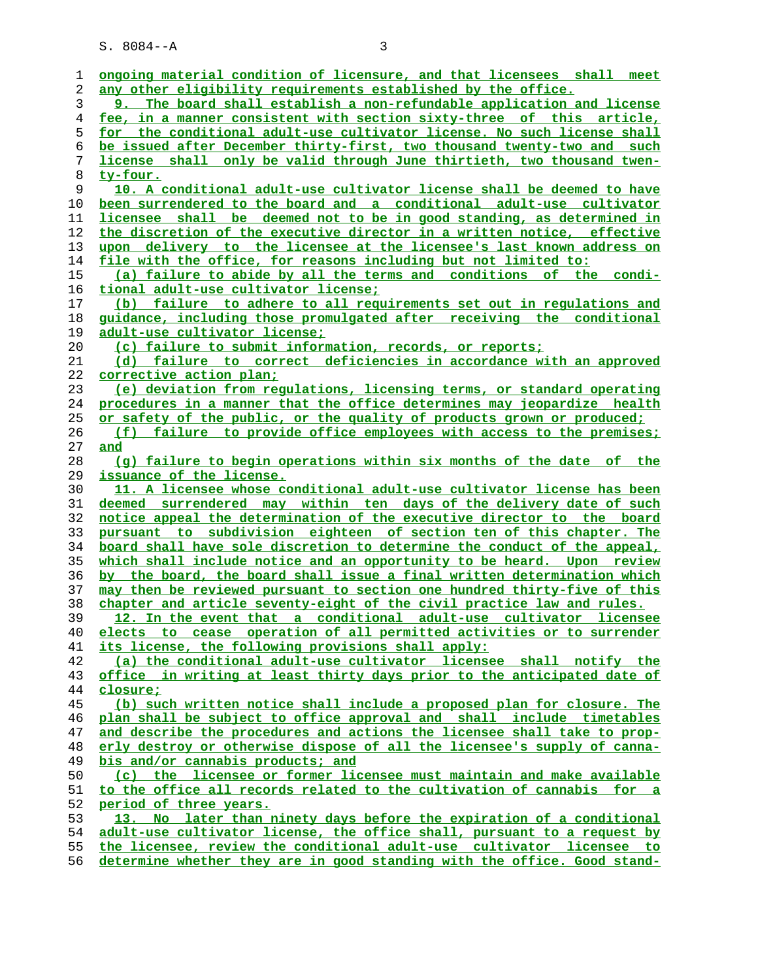| 1  | ongoing material condition of licensure, and that licensees shall meet   |
|----|--------------------------------------------------------------------------|
| 2  | any other eligibility requirements established by the office.            |
| 3  | 9. The board shall establish a non-refundable application and license    |
| 4  | fee, in a manner consistent with section sixty-three of this article,    |
| 5  | for the conditional adult-use cultivator license. No such license shall  |
| 6  | be issued after December thirty-first, two thousand twenty-two and such  |
| 7  | license shall only be valid through June thirtieth, two thousand twen-   |
| 8  | ty-four.                                                                 |
| 9  | 10. A conditional adult-use cultivator license shall be deemed to have   |
| 10 | been surrendered to the board and a conditional adult-use cultivator     |
| 11 | licensee shall be deemed not to be in good standing, as determined in    |
| 12 | the discretion of the executive director in a written notice, effective  |
| 13 | upon delivery to the licensee at the licensee's last known address on    |
| 14 | file with the office, for reasons including but not limited to:          |
| 15 | (a) failure to abide by all the terms and conditions of the condi-       |
| 16 | tional adult-use cultivator license;                                     |
| 17 | (b) failure to adhere to all requirements set out in regulations and     |
| 18 | guidance, including those promulgated after receiving the conditional    |
| 19 | <u>adult-use cultivator license;</u>                                     |
| 20 | (c) failure to submit information, records, or reports;                  |
| 21 | (d) failure to correct deficiencies in accordance with an approved       |
| 22 | corrective action plan;                                                  |
| 23 | (e) deviation from regulations, licensing terms, or standard operating   |
| 24 | procedures in a manner that the office determines may jeopardize health  |
| 25 | or safety of the public, or the quality of products grown or produced;   |
| 26 | failure to provide office employees with access to the premises;<br>(E)  |
| 27 | and                                                                      |
| 28 |                                                                          |
|    | (q) failure to begin operations within six months of the date of the     |
| 29 | issuance of the license.                                                 |
| 30 | 11. A licensee whose conditional adult-use cultivator license has been   |
| 31 | deemed surrendered may within ten days of the delivery date of such      |
| 32 | notice appeal the determination of the executive director to the board   |
| 33 | pursuant to subdivision eighteen of section ten of this chapter. The     |
| 34 | board shall have sole discretion to determine the conduct of the appeal, |
| 35 | which shall include notice and an opportunity to be heard. Upon review   |
| 36 | by the board, the board shall issue a final written determination which  |
| 37 | may then be reviewed pursuant to section one hundred thirty-five of this |
| 38 | chapter and article seventy-eight of the civil practice law and rules.   |
| 39 | 12. In the event that a conditional adult-use cultivator licensee        |
| 40 | elects to cease operation of all permitted activities or to surrender    |
| 41 | its license, the following provisions shall apply:                       |
| 42 | (a) the conditional adult-use cultivator licensee shall notify the       |
| 43 | office in writing at least thirty days prior to the anticipated date of  |
| 44 | closure;                                                                 |
| 45 | (b) such written notice shall include a proposed plan for closure. The   |
| 46 | plan shall be subject to office approval and shall include timetables    |
| 47 | and describe the procedures and actions the licensee shall take to prop- |
| 48 | erly destroy or otherwise dispose of all the licensee's supply of canna- |
| 49 | bis and/or cannabis products; and                                        |
| 50 | (c) the licensee or former licensee must maintain and make available     |
| 51 | to the office all records related to the cultivation of cannabis for a   |
| 52 | period of three years.                                                   |
| 53 | 13. No later than ninety days before the expiration of a conditional     |
| 54 | adult-use cultivator license, the office shall, pursuant to a request by |
| 55 | the licensee, review the conditional adult-use cultivator licensee to    |

**determine whether they are in good standing with the office. Good stand-**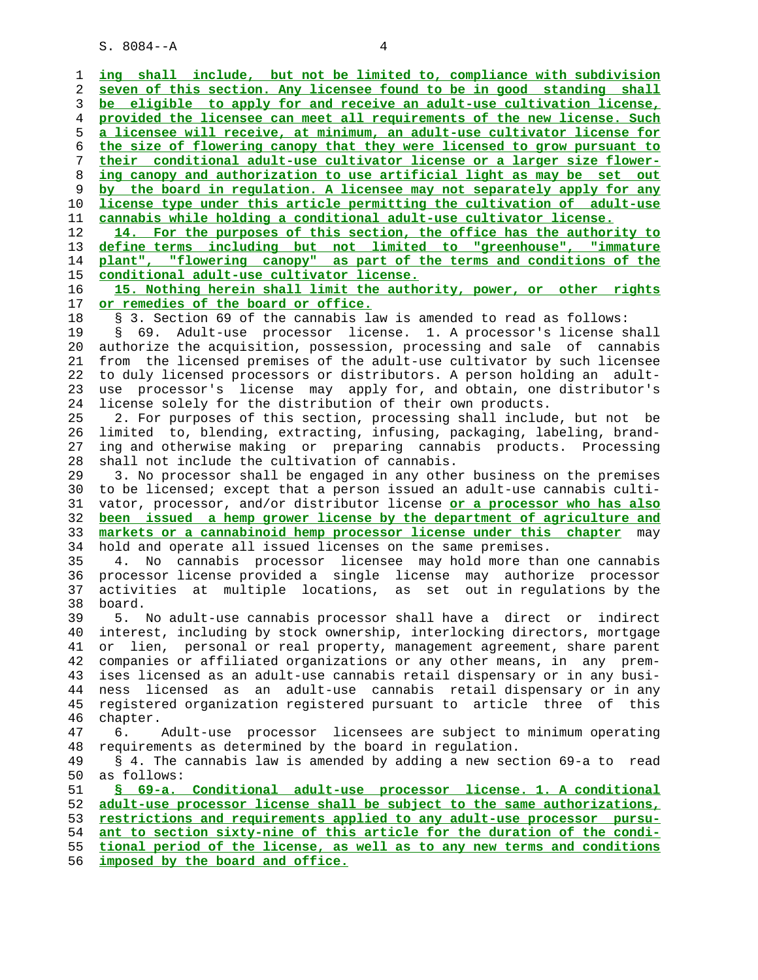1 **ing shall include, but not be limited to, compliance with subdivision** 2 **seven of this section. Any licensee found to be in good standing shall** 3 **be eligible to apply for and receive an adult-use cultivation license,** 4 **provided the licensee can meet all requirements of the new license. Such** 5 **a licensee will receive, at minimum, an adult-use cultivator license for** 6 **the size of flowering canopy that they were licensed to grow pursuant to** 7 **their conditional adult-use cultivator license or a larger size flower-** 8 **ing canopy and authorization to use artificial light as may be set out** 9 **by the board in regulation. A licensee may not separately apply for any** 10 **license type under this article permitting the cultivation of adult-use** 11 **cannabis while holding a conditional adult-use cultivator license.** 12 **14. For the purposes of this section, the office has the authority to** 13 **define terms including but not limited to "greenhouse", "immature** 14 **plant", "flowering canopy" as part of the terms and conditions of the** 15 **conditional adult-use cultivator license.** 16 **15. Nothing herein shall limit the authority, power, or other rights** 17 **or remedies of the board or office.** 18 § 3. Section 69 of the cannabis law is amended to read as follows: 19 § 69. Adult-use processor license. 1. A processor's license shall 20 authorize the acquisition, possession, processing and sale of cannabis 21 from the licensed premises of the adult-use cultivator by such licensee 22 to duly licensed processors or distributors. A person holding an adult- 23 use processor's license may apply for, and obtain, one distributor's 24 license solely for the distribution of their own products. 25 2. For purposes of this section, processing shall include, but not be 26 limited to, blending, extracting, infusing, packaging, labeling, brand- 27 ing and otherwise making or preparing cannabis products. Processing 28 shall not include the cultivation of cannabis. 29 3. No processor shall be engaged in any other business on the premises 30 to be licensed; except that a person issued an adult-use cannabis culti- 31 vator, processor, and/or distributor license **or a processor who has also** 32 **been issued a hemp grower license by the department of agriculture and** 33 **markets or a cannabinoid hemp processor license under this chapter** may 34 hold and operate all issued licenses on the same premises. 35 4. No cannabis processor licensee may hold more than one cannabis 36 processor license provided a single license may authorize processor 37 activities at multiple locations, as set out in regulations by the 38 board. 39 5. No adult-use cannabis processor shall have a direct or indirect 40 interest, including by stock ownership, interlocking directors, mortgage 41 or lien, personal or real property, management agreement, share parent 42 companies or affiliated organizations or any other means, in any prem- 43 ises licensed as an adult-use cannabis retail dispensary or in any busi- 44 ness licensed as an adult-use cannabis retail dispensary or in any 45 registered organization registered pursuant to article three of this 46 chapter. 47 6. Adult-use processor licensees are subject to minimum operating 48 requirements as determined by the board in regulation. 49 § 4. The cannabis law is amended by adding a new section 69-a to read 50 as follows: 51 **§ 69-a. Conditional adult-use processor license. 1. A conditional** 52 **adult-use processor license shall be subject to the same authorizations,** 53 **restrictions and requirements applied to any adult-use processor pursu-** 54 **ant to section sixty-nine of this article for the duration of the condi-** 55 **tional period of the license, as well as to any new terms and conditions** 56 **imposed by the board and office.**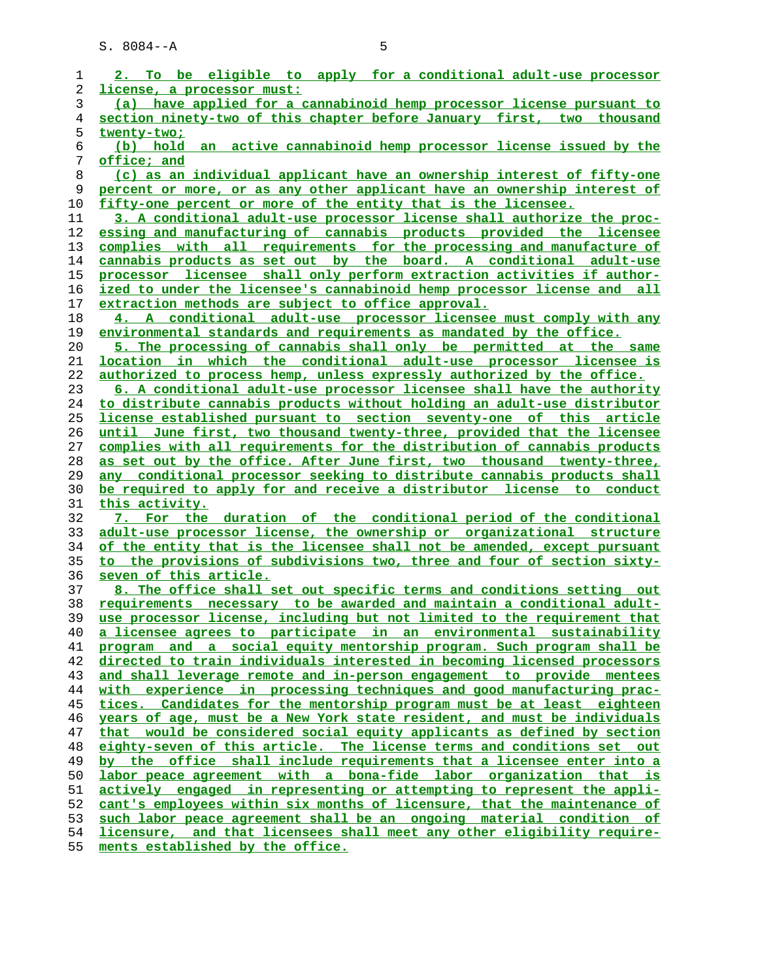| 1  | 2. To be eligible to apply for a conditional adult-use processor              |
|----|-------------------------------------------------------------------------------|
| 2  | license, a processor must:                                                    |
| 3  | (a) have applied for a cannabinoid hemp processor license pursuant to         |
| 4  | section ninety-two of this chapter before January first, two thousand         |
| 5  | twenty-two;                                                                   |
| 6  | active cannabinoid hemp processor license issued by the<br>(b) hold an        |
| 7  | <u>office; and</u>                                                            |
| 8  | (c) as an individual applicant have an ownership interest of fifty-one        |
| 9  | percent or more, or as any other applicant have an ownership interest of      |
| 10 | fifty-one percent or more of the entity that is the licensee.                 |
| 11 | 3. A conditional adult-use processor license shall authorize the proc-        |
| 12 | essing and manufacturing of cannabis products provided the licensee           |
| 13 | complies with all requirements for the processing and manufacture of          |
| 14 | cannabis products as set out by the board. A conditional adult-use            |
| 15 | processor licensee shall only perform extraction activities if author-        |
| 16 | ized to under the licensee's cannabinoid hemp processor license and all       |
| 17 | extraction methods are subject to office approval.                            |
| 18 | 4. A conditional adult-use processor licensee must comply with any            |
| 19 | environmental standards and requirements as mandated by the office.           |
| 20 | 5. The processing of cannabis shall only be permitted at the same             |
| 21 | location in which the conditional adult-use processor licensee is             |
| 22 | authorized to process hemp, unless expressly authorized by the office.        |
| 23 | 6. A conditional adult-use processor licensee shall have the authority        |
| 24 | to distribute cannabis products without holding an adult-use distributor      |
| 25 | <u>license established pursuant to section seventy-one of this article</u>    |
| 26 | until June first, two thousand twenty-three, provided that the licensee       |
| 27 | complies with all requirements for the distribution of cannabis products      |
| 28 | as set out by the office. After June first, two thousand twenty-three,        |
| 29 | any conditional processor seeking to distribute cannabis products shall       |
| 30 | be required to apply for and receive a distributor license to conduct         |
| 31 | <u>this activity.</u>                                                         |
| 32 | 7. For the duration of the conditional period of the conditional              |
| 33 | adult-use processor license, the ownership or organizational structure        |
| 34 | of the entity that is the licensee shall not be amended, except pursuant      |
| 35 | to the provisions of subdivisions two, three and four of section sixty-       |
| 36 | seven of this article.                                                        |
| 37 | 8. The office shall set out specific terms and conditions setting out         |
| 38 | requirements necessary to be awarded and maintain a conditional adult-        |
| 39 | use processor license, including but not limited to the requirement that      |
| 40 | a licensee agrees to participate in an environmental sustainability           |
| 41 | program and a social equity mentorship program. Such program shall be         |
| 42 | directed to train individuals interested in becoming licensed processors      |
| 43 | and shall leverage remote and in-person engagement to provide mentees         |
| 44 | with experience in processing techniques and good manufacturing prac-         |
| 45 | tices. Candidates for the mentorship program must be at least eighteen        |
| 46 | years of age, must be a New York state resident, and must be individuals      |
| 47 | that would be considered social equity applicants as defined by section       |
| 48 | eighty-seven of this article. The license terms and conditions set out        |
| 49 | by the office shall include requirements that a licensee enter into a         |
| 50 | labor peace agreement with a bona-fide labor organization that is             |
| 51 | <u>actively engaged in representing or attempting to represent the appli-</u> |
| 52 | cant's employees within six months of licensure, that the maintenance of      |
| 53 | such labor peace agreement shall be an ongoing material condition of          |
| 54 | licensure, and that licensees shall meet any other eligibility require-       |
| 55 | ments established by the office.                                              |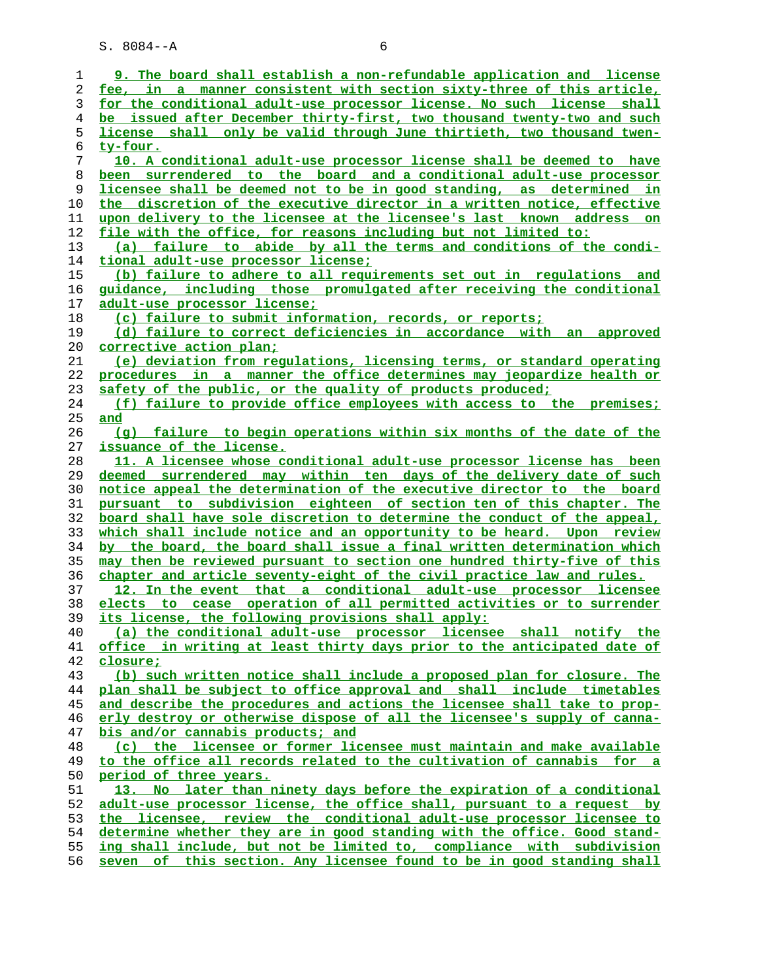| 1        | 9. The board shall establish a non-refundable application and license                                                                        |
|----------|----------------------------------------------------------------------------------------------------------------------------------------------|
| 2        | fee, in a manner consistent with section sixty-three of this article,                                                                        |
| 3        | for the conditional adult-use processor license. No such license shall                                                                       |
| 4        | be issued after December thirty-first, two thousand twenty-two and such                                                                      |
| 5        | license shall only be valid through June thirtieth, two thousand twen-                                                                       |
| 6        | <u>ty-four.</u>                                                                                                                              |
| 7        | 10. A conditional adult-use processor license shall be deemed to have                                                                        |
| 8        | been surrendered to the board and a conditional adult-use processor                                                                          |
| 9        | licensee shall be deemed not to be in good standing, as determined in                                                                        |
| 10       | the discretion of the executive director in a written notice, effective                                                                      |
| 11       | upon delivery to the licensee at the licensee's last known address on                                                                        |
| 12       | file with the office, for reasons including but not limited to:                                                                              |
| 13       | (a) failure to abide by all the terms and conditions of the condi-                                                                           |
| 14       | tional adult-use processor license;                                                                                                          |
| 15       | (b) failure to adhere to all requirements set out in regulations and                                                                         |
| 16       | guidance, including those promulgated after receiving the conditional                                                                        |
| 17       | adult-use processor license;                                                                                                                 |
| 18       | (c) failure to submit information, records, or reports;                                                                                      |
| 19       | (d) failure to correct deficiencies in accordance with an approved                                                                           |
| 20       | <u>corrective action plan:</u>                                                                                                               |
| 21       | (e) deviation from requlations, licensing terms, or standard operating                                                                       |
| 22       | procedures in a manner the office determines may jeopardize health or                                                                        |
| 23       | safety of the public, or the quality of products produced;                                                                                   |
| 24       | (f) failure to provide office employees with access to the premises;                                                                         |
| 25       | and                                                                                                                                          |
| 26       | (q) failure to begin operations within six months of the date of the                                                                         |
| 27       | issuance of the license.                                                                                                                     |
| 28       | 11. A licensee whose conditional adult-use processor license has been                                                                        |
| 29       | deemed surrendered may within ten days of the delivery date of such                                                                          |
| 30       | notice appeal the determination of the executive director to the board                                                                       |
| 31       | pursuant to subdivision eighteen of section ten of this chapter. The                                                                         |
| 32       | board shall have sole discretion to determine the conduct of the appeal,                                                                     |
| 33       | which shall include notice and an opportunity to be heard. Upon review                                                                       |
| 34       | by the board, the board shall issue a final written determination which                                                                      |
| 35       | may then be reviewed pursuant to section one hundred thirty-five of this                                                                     |
| 36       | chapter and article seventy-eight of the civil practice law and rules.                                                                       |
| 37       | 12. In the event that a conditional adult-use processor licensee                                                                             |
| 38       | elects to cease operation of all permitted activities or to surrender                                                                        |
| 39       | its license, the following provisions shall apply:                                                                                           |
| 40       | (a) the conditional adult-use processor licensee shall notify the<br>office in writing at least thirty days prior to the anticipated date of |
| 41<br>42 | closure;                                                                                                                                     |
| 43       | (b) such written notice shall include a proposed plan for closure. The                                                                       |
| 44       | plan shall be subject to office approval and shall include timetables                                                                        |
| 45       | and describe the procedures and actions the licensee shall take to prop-                                                                     |
| 46       | erly destroy or otherwise dispose of all the licensee's supply of canna-                                                                     |
| 47       | bis and/or cannabis products; and                                                                                                            |
| 48       | (c) the licensee or former licensee must maintain and make available                                                                         |
| 49       | to the office all records related to the cultivation of cannabis for a                                                                       |
| 50       | period of three years.                                                                                                                       |
| 51       | 13. No later than ninety days before the expiration of a conditional                                                                         |
| 52       | adult-use processor license, the office shall, pursuant to a request by                                                                      |
| 53       | the licensee, review the conditional adult-use processor licensee to                                                                         |
| 54       | determine whether they are in good standing with the office. Good stand-                                                                     |
| 55       | ing shall include, but not be limited to, compliance with subdivision                                                                        |
| 56       | seven of this section. Any licensee found to be in good standing shall                                                                       |